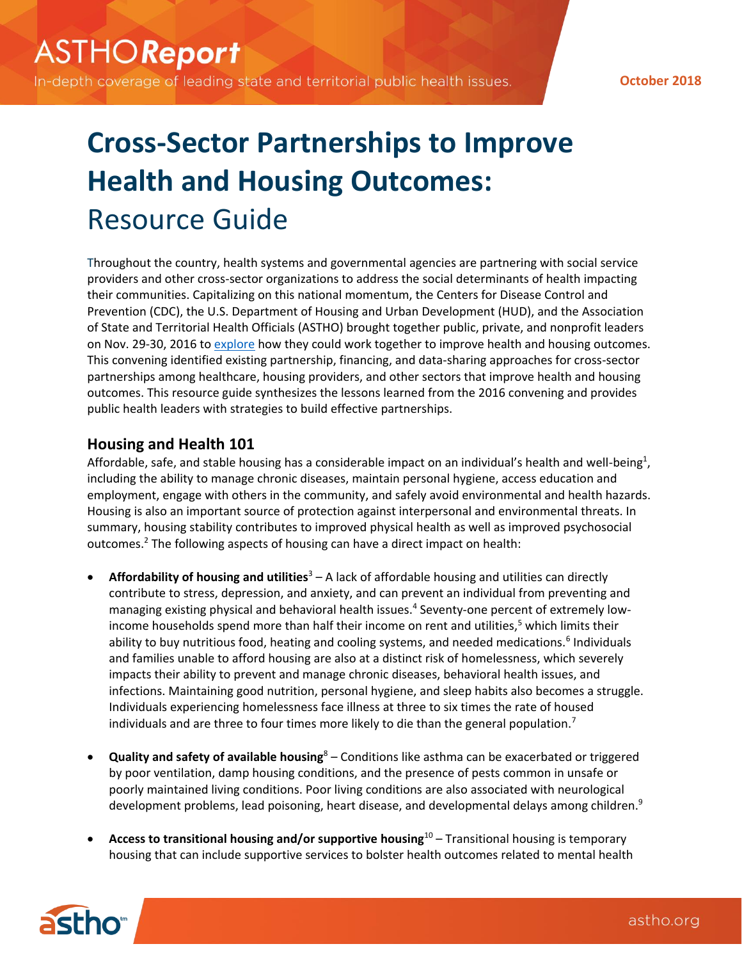In-depth coverage of leading state and territorial public health issues.

**October 2018**

# **Cross-Sector Partnerships to Improve Health and Housing Outcomes:** Resource Guide

Throughout the country, health systems and governmental agencies are partnering with social service providers and other cross-sector organizations to address the social determinants of health impacting their communities. Capitalizing on this national momentum, the Centers for Disease Control and Prevention (CDC), the U.S. Department of Housing and Urban Development (HUD), and the Association of State and Territorial Health Officials (ASTHO) brought together public, private, and nonprofit leaders on Nov. 29-30, 2016 to [explore](http://www.astho.org/Health-Systems-Transformation/Cross-Sector-Partnership-Models-to-Improve-Health-and-Housing-Outcomes/) how they could work together to improve health and housing outcomes. This convening identified existing partnership, financing, and data-sharing approaches for cross-sector partnerships among healthcare, housing providers, and other sectors that improve health and housing outcomes. This resource guide synthesizes the lessons learned from the 2016 convening and provides public health leaders with strategies to build effective partnerships.

# **Housing and Health 101**

Affordable, safe, and stable housing has a considerable impact on an individual's health and well-being<sup>1</sup>, including the ability to manage chronic diseases, maintain personal hygiene, access education and employment, engage with others in the community, and safely avoid environmental and health hazards. Housing is also an important source of protection against interpersonal and environmental threats. In summary, housing stability contributes to improved physical health as well as improved psychosocial outcomes.<sup>2</sup> The following aspects of housing can have a direct impact on health:

- **Affordability of housing and utilities**<sup>3</sup> A lack of affordable housing and utilities can directly contribute to stress, depression, and anxiety, and can prevent an individual from preventing and managing existing physical and behavioral health issues.<sup>4</sup> Seventy-one percent of extremely lowincome households spend more than half their income on rent and utilities,<sup>5</sup> which limits their ability to buy nutritious food, heating and cooling systems, and needed medications.<sup>6</sup> Individuals and families unable to afford housing are also at a distinct risk of homelessness, which severely impacts their ability to prevent and manage chronic diseases, behavioral health issues, and infections. Maintaining good nutrition, personal hygiene, and sleep habits also becomes a struggle. Individuals experiencing homelessness face illness at three to six times the rate of housed individuals and are three to four times more likely to die than the general population.<sup>7</sup>
- **Quality and safety of available housing**<sup>8</sup> Conditions like asthma can be exacerbated or triggered by poor ventilation, damp housing conditions, and the presence of pests common in unsafe or poorly maintained living conditions. Poor living conditions are also associated with neurological development problems, lead poisoning, heart disease, and developmental delays among children.<sup>9</sup>
- **Access to transitional housing and/or supportive housing**<sup>10</sup> Transitional housing is temporary housing that can include supportive services to bolster health outcomes related to mental health

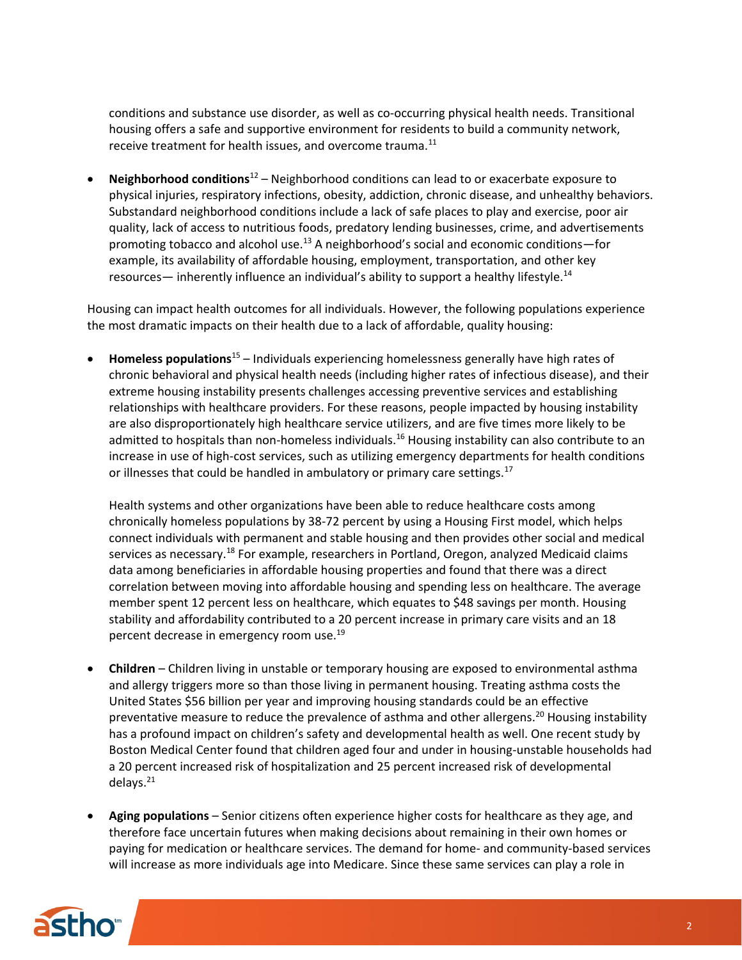conditions and substance use disorder, as well as co-occurring physical health needs. Transitional housing offers a safe and supportive environment for residents to build a community network, receive treatment for health issues, and overcome trauma.<sup>11</sup>

• **Neighborhood conditions**<sup>12</sup> – Neighborhood conditions can lead to or exacerbate exposure to physical injuries, respiratory infections, obesity, addiction, chronic disease, and unhealthy behaviors. Substandard neighborhood conditions include a lack of safe places to play and exercise, poor air quality, lack of access to nutritious foods, predatory lending businesses, crime, and advertisements promoting tobacco and alcohol use.<sup>13</sup> A neighborhood's social and economic conditions—for example, its availability of affordable housing, employment, transportation, and other key resources— inherently influence an individual's ability to support a healthy lifestyle.<sup>14</sup>

Housing can impact health outcomes for all individuals. However, the following populations experience the most dramatic impacts on their health due to a lack of affordable, quality housing:

• **Homeless populations**<sup>15</sup> – Individuals experiencing homelessness generally have high rates of chronic behavioral and physical health needs (including higher rates of infectious disease), and their extreme housing instability presents challenges accessing preventive services and establishing relationships with healthcare providers. For these reasons, people impacted by housing instability are also disproportionately high healthcare service utilizers, and are five times more likely to be admitted to hospitals than non-homeless individuals.<sup>16</sup> Housing instability can also contribute to an increase in use of high-cost services, such as utilizing emergency departments for health conditions or illnesses that could be handled in ambulatory or primary care settings.<sup>17</sup>

Health systems and other organizations have been able to reduce healthcare costs among chronically homeless populations by 38-72 percent by using a Housing First model, which helps connect individuals with permanent and stable housing and then provides other social and medical services as necessary.<sup>18</sup> For example, researchers in Portland, Oregon, analyzed Medicaid claims data among beneficiaries in affordable housing properties and found that there was a direct correlation between moving into affordable housing and spending less on healthcare. The average member spent 12 percent less on healthcare, which equates to \$48 savings per month. Housing stability and affordability contributed to a 20 percent increase in primary care visits and an 18 percent decrease in emergency room use.<sup>19</sup>

- **Children** Children living in unstable or temporary housing are exposed to environmental asthma and allergy triggers more so than those living in permanent housing. Treating asthma costs the United States \$56 billion per year and improving housing standards could be an effective preventative measure to reduce the prevalence of asthma and other allergens.<sup>20</sup> Housing instability has a profound impact on children's safety and developmental health as well. One recent study by Boston Medical Center found that children aged four and under in housing-unstable households had a 20 percent increased risk of hospitalization and 25 percent increased risk of developmental delays.<sup>21</sup>
- **Aging populations** Senior citizens often experience higher costs for healthcare as they age, and therefore face uncertain futures when making decisions about remaining in their own homes or paying for medication or healthcare services. The demand for home- and community-based services will increase as more individuals age into Medicare. Since these same services can play a role in

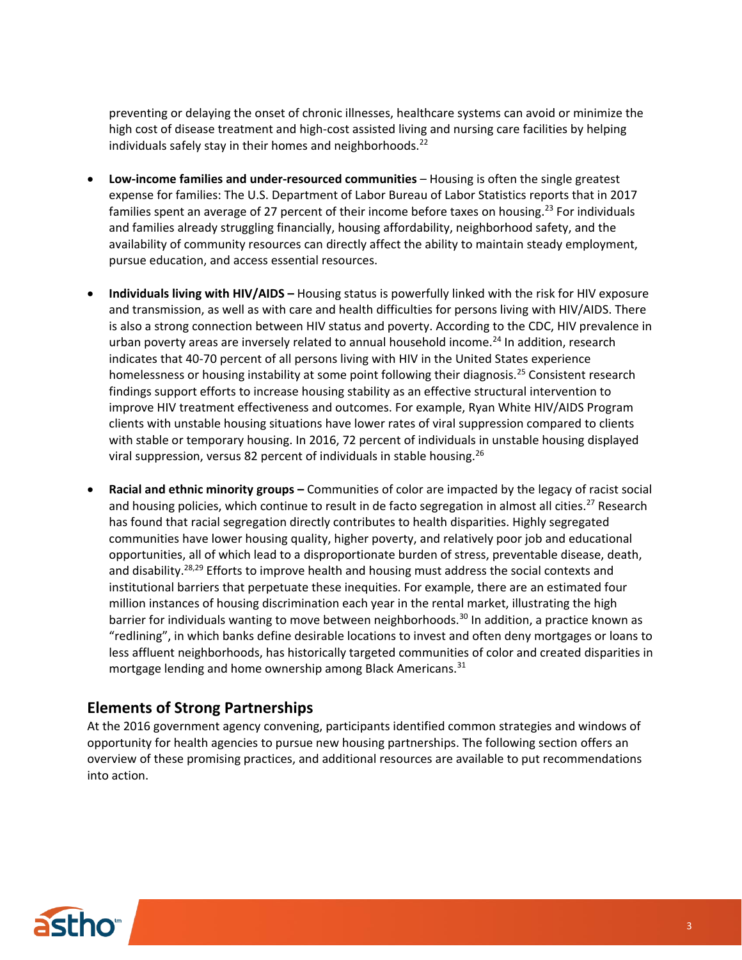preventing or delaying the onset of chronic illnesses, healthcare systems can avoid or minimize the high cost of disease treatment and high-cost assisted living and nursing care facilities by helping individuals safely stay in their homes and neighborhoods. $^{22}$ 

- **Low-income families and under-resourced communities**  Housing is often the single greatest expense for families: The U.S. Department of Labor Bureau of Labor Statistics reports that in 2017 families spent an average of 27 percent of their income before taxes on housing.<sup>23</sup> For individuals and families already struggling financially, housing affordability, neighborhood safety, and the availability of community resources can directly affect the ability to maintain steady employment, pursue education, and access essential resources.
- **Individuals living with HIV/AIDS –** Housing status is powerfully linked with the risk for HIV exposure and transmission, as well as with care and health difficulties for persons living with HIV/AIDS. There is also a strong connection between HIV status and poverty. According to the CDC, HIV prevalence in urban poverty areas are inversely related to annual household income.<sup>24</sup> In addition, research indicates that 40-70 percent of all persons living with HIV in the United States experience homelessness or housing instability at some point following their diagnosis.<sup>25</sup> Consistent research findings support efforts to increase housing stability as an effective structural intervention to improve HIV treatment effectiveness and outcomes. For example, Ryan White HIV/AIDS Program clients with unstable housing situations have lower rates of viral suppression compared to clients with stable or temporary housing. In 2016, 72 percent of individuals in unstable housing displayed viral suppression, versus 82 percent of individuals in stable housing.<sup>26</sup>
- **Racial and ethnic minority groups –** Communities of color are impacted by the legacy of racist social and housing policies, which continue to result in de facto segregation in almost all cities.<sup>27</sup> Research has found that racial segregation directly contributes to health disparities. Highly segregated communities have lower housing quality, higher poverty, and relatively poor job and educational opportunities, all of which lead to a disproportionate burden of stress, preventable disease, death, and disability.<sup>28,29</sup> Efforts to improve health and housing must address the social contexts and institutional barriers that perpetuate these inequities. For example, there are an estimated four million instances of housing discrimination each year in the rental market, illustrating the high barrier for individuals wanting to move between neighborhoods.<sup>30</sup> In addition, a practice known as "redlining", in which banks define desirable locations to invest and often deny mortgages or loans to less affluent neighborhoods, has historically targeted communities of color and created disparities in mortgage lending and home ownership among Black Americans.<sup>31</sup>

# **Elements of Strong Partnerships**

At the 2016 government agency convening, participants identified common strategies and windows of opportunity for health agencies to pursue new housing partnerships. The following section offers an overview of these promising practices, and additional resources are available to put recommendations into action.

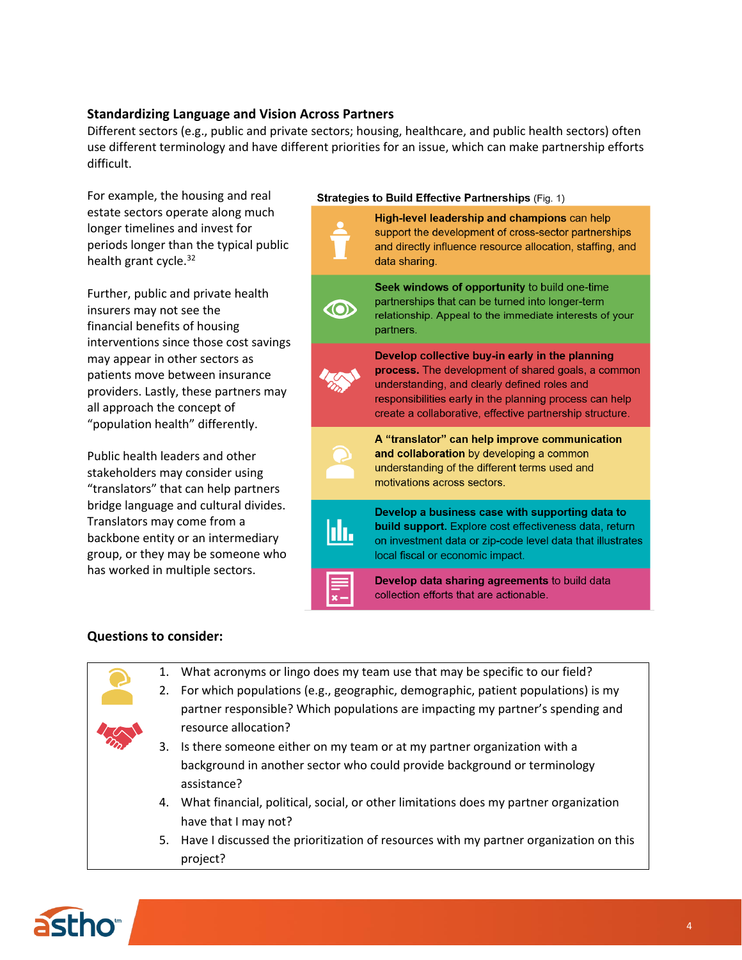## **Standardizing Language and Vision Across Partners**

Different sectors (e.g., public and private sectors; housing, healthcare, and public health sectors) often use different terminology and have different priorities for an issue, which can make partnership efforts difficult.

For example, the housing and real estate sectors operate along much longer timelines and invest for periods longer than the typical public health grant cycle. $32$ 

Further, public and private health insurers may not see the financial benefits of housing interventions since those cost savings may appear in other sectors as patients move between insurance providers. Lastly, these partners may all approach the concept of "population health" differently.

Public health leaders and other stakeholders may consider using "translators" that can help partners bridge language and cultural divides. Translators may come from a backbone entity or an intermediary group, or they may be someone who has worked in multiple sectors.

project?

#### Strategies to Build Effective Partnerships (Fig. 1)



#### **Questions to consider:**

1. What acronyms or lingo does my team use that may be specific to our field? 2. For which populations (e.g., geographic, demographic, patient populations) is my partner responsible? Which populations are impacting my partner's spending and resource allocation? 3. Is there someone either on my team or at my partner organization with a background in another sector who could provide background or terminology assistance? 4. What financial, political, social, or other limitations does my partner organization have that I may not? 5. Have I discussed the prioritization of resources with my partner organization on this

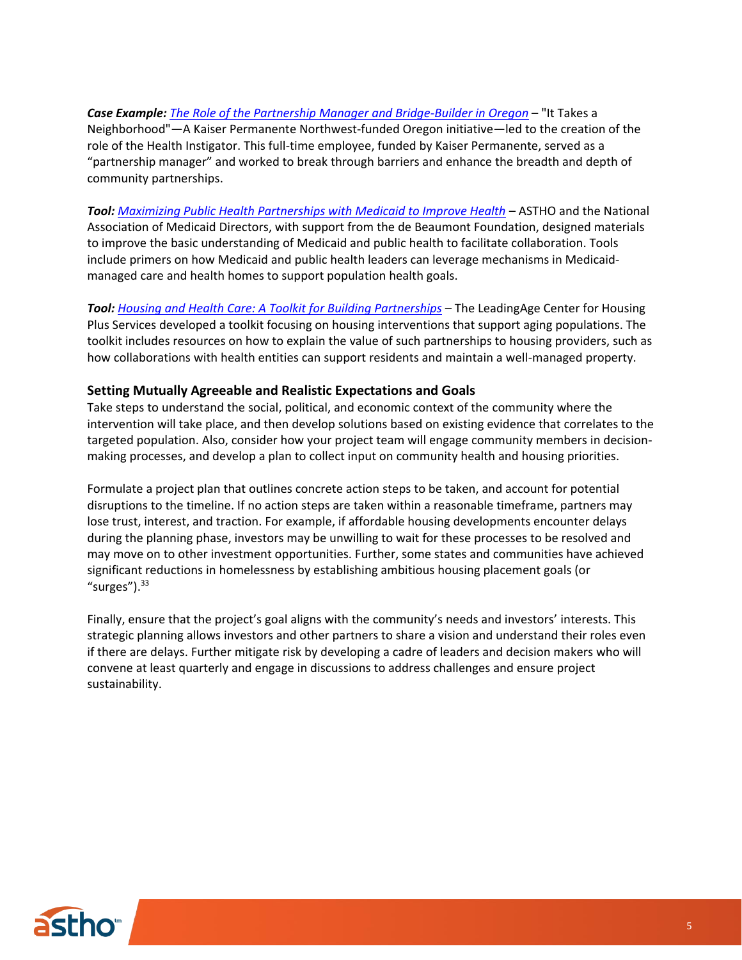*Case Example: [The Role of the Partnership Manager and Bridge-Builder in Oregon](http://www.amchp.org/programsandtopics/data-assessment/Documents/JPratt.Toolkit4Partnerships.2017.pdf)* – "It Takes a Neighborhood"—A Kaiser Permanente Northwest-funded Oregon initiative—led to the creation of the role of the Health Instigator. This full-time employee, funded by Kaiser Permanente, served as a "partnership manager" and worked to break through barriers and enhance the breadth and depth of community partnerships.

*Tool: [Maximizing Public Health Partnerships with Medicaid to Improve Health](http://www.astho.org/Maximizing-Public-Health-Partnerships-with-Medicaid/)* – ASTHO and the National Association of Medicaid Directors, with support from the de Beaumont Foundation, designed materials to improve the basic understanding of Medicaid and public health to facilitate collaboration. Tools include primers on how Medicaid and public health leaders can leverage mechanisms in Medicaidmanaged care and health homes to support population health goals.

*Tool: [Housing and Health Care: A Toolkit for Building Partnerships](http://www.leadingage.org/chps/housing-and-health-care-toolkit-building-partnerships)* – The LeadingAge Center for Housing Plus Services developed a toolkit focusing on housing interventions that support aging populations. The toolkit includes resources on how to explain the value of such partnerships to housing providers, such as how collaborations with health entities can support residents and maintain a well-managed property.

#### **Setting Mutually Agreeable and Realistic Expectations and Goals**

Take steps to understand the social, political, and economic context of the community where the intervention will take place, and then develop solutions based on existing evidence that correlates to the targeted population. Also, consider how your project team will engage community members in decisionmaking processes, and develop a plan to collect input on community health and housing priorities.

Formulate a project plan that outlines concrete action steps to be taken, and account for potential disruptions to the timeline. If no action steps are taken within a reasonable timeframe, partners may lose trust, interest, and traction. For example, if affordable housing developments encounter delays during the planning phase, investors may be unwilling to wait for these processes to be resolved and may move on to other investment opportunities. Further, some states and communities have achieved significant reductions in homelessness by establishing ambitious housing placement goals (or "surges"). $33$ 

Finally, ensure that the project's goal aligns with the community's needs and investors' interests. This strategic planning allows investors and other partners to share a vision and understand their roles even if there are delays. Further mitigate risk by developing a cadre of leaders and decision makers who will convene at least quarterly and engage in discussions to address challenges and ensure project sustainability.

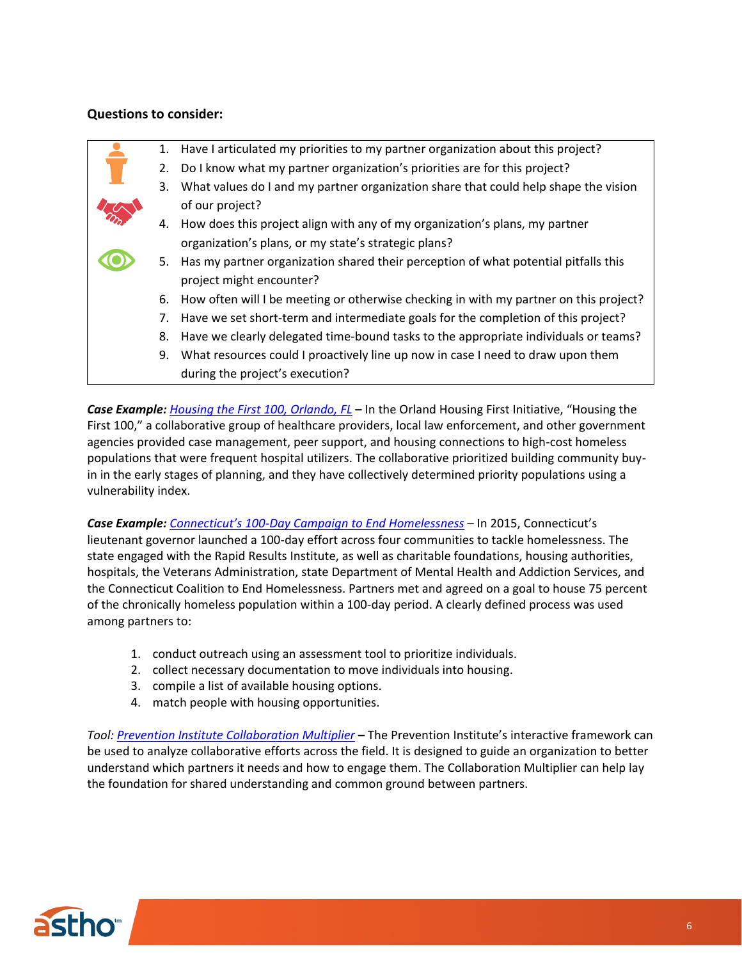## **Questions to consider:**

|  | 1. | Have I articulated my priorities to my partner organization about this project?       |
|--|----|---------------------------------------------------------------------------------------|
|  | 2. | Do I know what my partner organization's priorities are for this project?             |
|  | 3. | What values do I and my partner organization share that could help shape the vision   |
|  |    | of our project?                                                                       |
|  | 4. | How does this project align with any of my organization's plans, my partner           |
|  |    | organization's plans, or my state's strategic plans?                                  |
|  | 5. | Has my partner organization shared their perception of what potential pitfalls this   |
|  |    | project might encounter?                                                              |
|  | 6. | How often will I be meeting or otherwise checking in with my partner on this project? |
|  | 7. | Have we set short-term and intermediate goals for the completion of this project?     |
|  | 8. | Have we clearly delegated time-bound tasks to the appropriate individuals or teams?   |
|  | 9. | What resources could I proactively line up now in case I need to draw upon them       |
|  |    | during the project's execution?                                                       |

*Case Example: [Housing the First 100, Orlando, FL](http://www.csh.org/wp-content/uploads/2016/09/Orlando-Frequent-User-Initiative-ProfileFINAL.pdf)* **–** In the Orland Housing First Initiative, "Housing the First 100," a collaborative group of healthcare providers, local law enforcement, and other government agencies provided case management, peer support, and housing connections to high-cost homeless populations that were frequent hospital utilizers. The collaborative prioritized building community buyin in the early stages of planning, and they have collectively determined priority populations using a vulnerability index.

*Case Example: Connecticut's 100[-Day Campaign to End Homelessness](https://www.usich.gov/news/connecticut-launches-100-day-effort-to-end-homelessness)* – In 2015, Connecticut's lieutenant governor launched a 100-day effort across four communities to tackle homelessness. The state engaged with the Rapid Results Institute, as well as charitable foundations, housing authorities, hospitals, the Veterans Administration, state Department of Mental Health and Addiction Services, and the Connecticut Coalition to End Homelessness. Partners met and agreed on a goal to house 75 percent of the chronically homeless population within a 100-day period. A clearly defined process was used among partners to:

- 1. conduct outreach using an assessment tool to prioritize individuals.
- 2. collect necessary documentation to move individuals into housing.
- 3. compile a list of available housing options.
- 4. match people with housing opportunities.

*Tool[: Prevention Institute Collaboration Multiplier](https://www.preventioninstitute.org/tools/collaboration-multiplier)* **–** The Prevention Institute's interactive framework can be used to analyze collaborative efforts across the field. It is designed to guide an organization to better understand which partners it needs and how to engage them. The Collaboration Multiplier can help lay the foundation for shared understanding and common ground between partners.

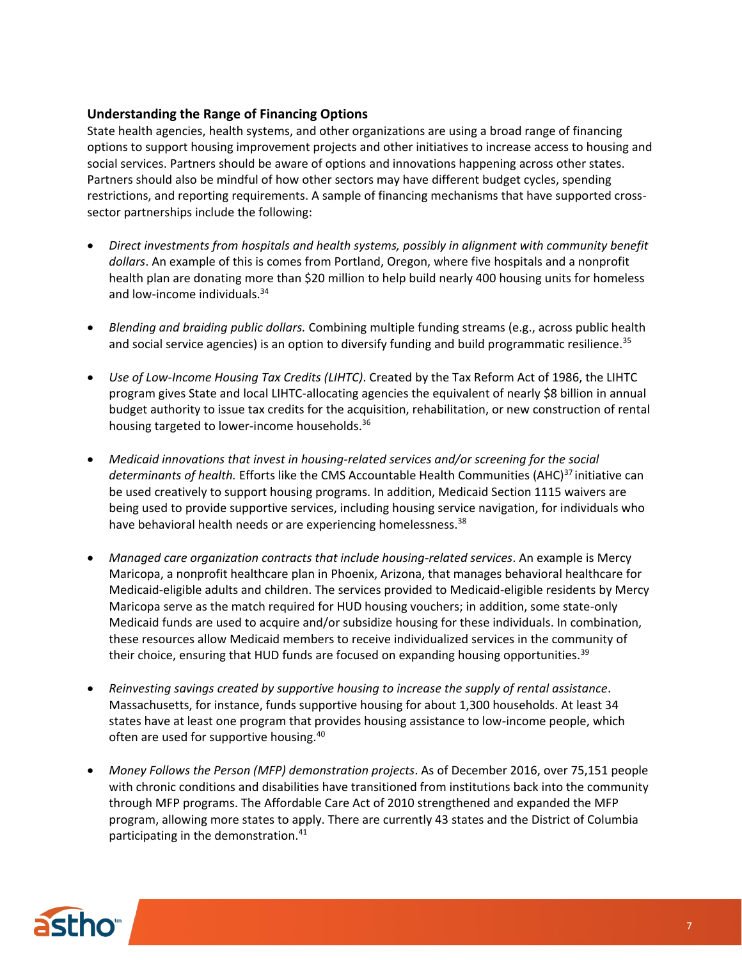## **Understanding the Range of Financing Options**

State health agencies, health systems, and other organizations are using a broad range of financing options to support housing improvement projects and other initiatives to increase access to housing and social services. Partners should be aware of options and innovations happening across other states. Partners should also be mindful of how other sectors may have different budget cycles, spending restrictions, and reporting requirements. A sample of financing mechanisms that have supported crosssector partnerships include the following:

- *Direct investments from hospitals and health systems, possibly in alignment with community benefit dollars*. An example of this is comes from Portland, Oregon, where five hospitals and a nonprofit health plan are donating more than \$20 million to help build nearly 400 housing units for homeless and low-income individuals.<sup>34</sup>
- *Blending and braiding public dollars.* Combining multiple funding streams (e.g., across public health and social service agencies) is an option to diversify funding and build programmatic resilience.<sup>35</sup>
- *Use of Low-Income Housing Tax Credits (LIHTC)*. Created by the Tax Reform Act of 1986, the LIHTC program gives State and local LIHTC-allocating agencies the equivalent of nearly \$8 billion in annual budget authority to issue tax credits for the acquisition, rehabilitation, or new construction of rental housing targeted to lower-income households.<sup>36</sup>
- *Medicaid innovations that invest in housing-related services and/or screening for the social*  determinants of health. Efforts like the CMS Accountable Health Communities (AHC)<sup>37</sup> initiative can be used creatively to support housing programs. In addition, Medicaid Section 1115 waivers are being used to provide supportive services, including housing service navigation, for individuals who have behavioral health needs or are experiencing homelessness.<sup>38</sup>
- *Managed care organization contracts that include housing-related services*. An example is Mercy Maricopa, a nonprofit healthcare plan in Phoenix, Arizona, that manages behavioral healthcare for Medicaid-eligible adults and children. The services provided to Medicaid-eligible residents by Mercy Maricopa serve as the match required for HUD housing vouchers; in addition, some state-only Medicaid funds are used to acquire and/or subsidize housing for these individuals. In combination, these resources allow Medicaid members to receive individualized services in the community of their choice, ensuring that HUD funds are focused on expanding housing opportunities.<sup>39</sup>
- *Reinvesting savings created by supportive housing to increase the supply of rental assistance*. Massachusetts, for instance, funds supportive housing for about 1,300 households. At least 34 states have at least one program that provides housing assistance to low-income people, which often are used for supportive housing.<sup>40</sup>
- *Money Follows the Person (MFP) demonstration projects*. As of December 2016, over 75,151 people with chronic conditions and disabilities have transitioned from institutions back into the community through MFP programs. The Affordable Care Act of 2010 strengthened and expanded the MFP program, allowing more states to apply. There are currently 43 states and the District of Columbia participating in the demonstration.<sup>41</sup>

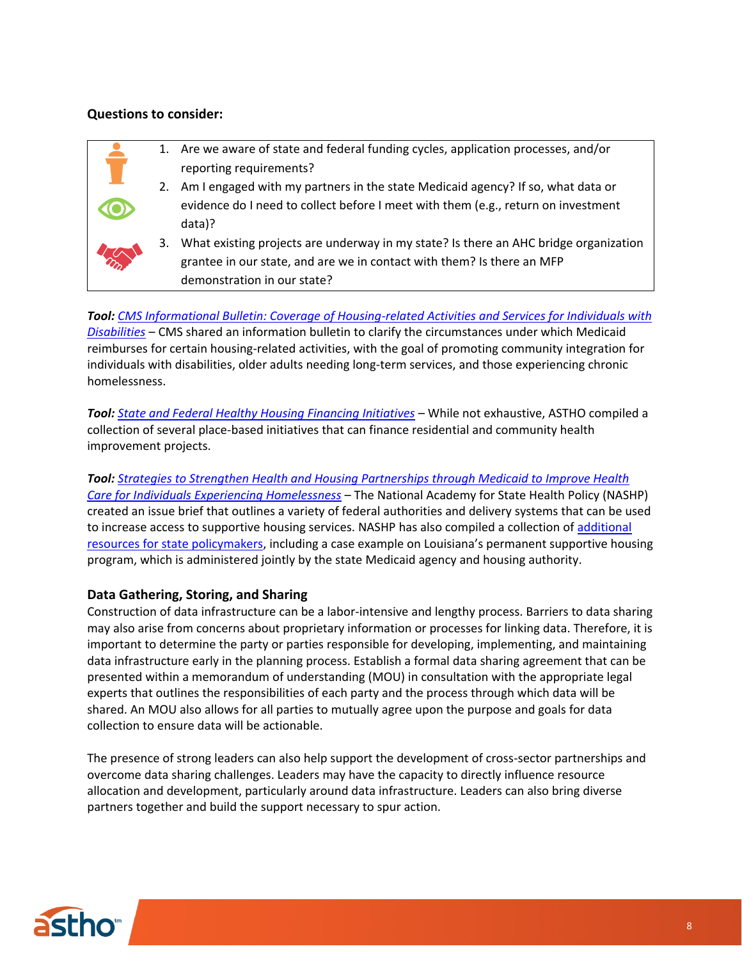#### **Questions to consider:**

|                |    | Are we aware of state and federal funding cycles, application processes, and/or      |
|----------------|----|--------------------------------------------------------------------------------------|
|                |    | reporting requirements?                                                              |
|                | 2. | Am I engaged with my partners in the state Medicaid agency? If so, what data or      |
|                |    | evidence do I need to collect before I meet with them (e.g., return on investment    |
|                |    | data)?                                                                               |
|                | 3. | What existing projects are underway in my state? Is there an AHC bridge organization |
| $2\frac{1}{2}$ |    | grantee in our state, and are we in contact with them? Is there an MFP               |
|                |    | demonstration in our state?                                                          |

*Tool: [CMS Informational Bulletin: Coverage of Housing-related Activities and Services for Individuals with](https://www.medicaid.gov/federal-policy-guidance/downloads/CIB-06-26-2015.pdf)  [Disabilities](https://www.medicaid.gov/federal-policy-guidance/downloads/CIB-06-26-2015.pdf)* – CMS shared an information bulletin to clarify the circumstances under which Medicaid reimburses for certain housing-related activities, with the goal of promoting community integration for individuals with disabilities, older adults needing long-term services, and those experiencing chronic homelessness.

*Tool: [State and Federal Healthy Housing Financing Initiatives](http://www.astho.org/HiAP/Environmental-HiAP/Housing-Financing/)* – While not exhaustive, ASTHO compiled a collection of several place-based initiatives that can finance residential and community health improvement projects.

*Tool: [Strategies to Strengthen Health and Housing Partnerships through Medicaid to Improve Health](https://nashp.org/wp-content/uploads/2017/07/Strategies-to-Strengthen-Health-and-Housing-Partnerships.pdf)  [Care for Individuals Experiencing Homelessness](https://nashp.org/wp-content/uploads/2017/07/Strategies-to-Strengthen-Health-and-Housing-Partnerships.pdf)* – The National Academy for State Health Policy (NASHP) created an issue brief that outlines a variety of federal authorities and delivery systems that can be used to increase access to supportive housing services. NASHP has also compiled a collection of [additional](https://nashp.org/housing-and-health-resources-for-states/)  [resources for state policymakers](https://nashp.org/housing-and-health-resources-for-states/), including a case example on Louisiana's permanent supportive housing program, which is administered jointly by the state Medicaid agency and housing authority.

#### **Data Gathering, Storing, and Sharing**

Construction of data infrastructure can be a labor-intensive and lengthy process. Barriers to data sharing may also arise from concerns about proprietary information or processes for linking data. Therefore, it is important to determine the party or parties responsible for developing, implementing, and maintaining data infrastructure early in the planning process. Establish a formal data sharing agreement that can be presented within a memorandum of understanding (MOU) in consultation with the appropriate legal experts that outlines the responsibilities of each party and the process through which data will be shared. An MOU also allows for all parties to mutually agree upon the purpose and goals for data collection to ensure data will be actionable.

The presence of strong leaders can also help support the development of cross-sector partnerships and overcome data sharing challenges. Leaders may have the capacity to directly influence resource allocation and development, particularly around data infrastructure. Leaders can also bring diverse partners together and build the support necessary to spur action.

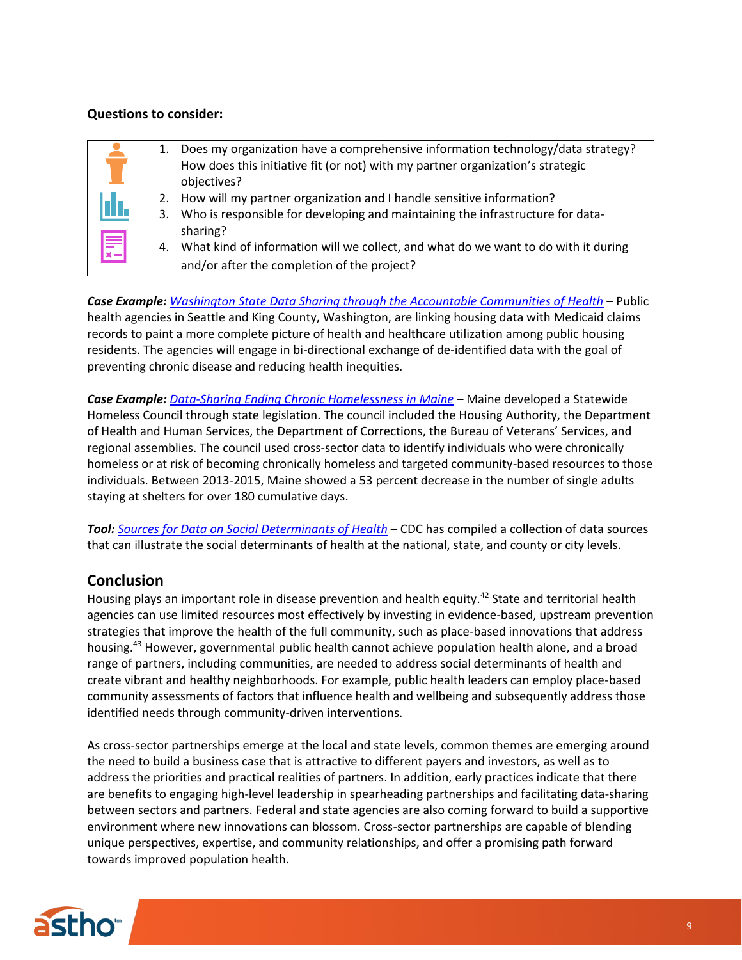#### **Questions to consider:**

|           | 1.             | Does my organization have a comprehensive information technology/data strategy?<br>How does this initiative fit (or not) with my partner organization's strategic<br>objectives?                                                                         |
|-----------|----------------|----------------------------------------------------------------------------------------------------------------------------------------------------------------------------------------------------------------------------------------------------------|
| Įdr.<br>F | 2.<br>3.<br>4. | How will my partner organization and I handle sensitive information?<br>Who is responsible for developing and maintaining the infrastructure for data-<br>sharing?<br>What kind of information will we collect, and what do we want to do with it during |
|           |                | and/or after the completion of the project?                                                                                                                                                                                                              |

*Case Example: [Washington State Data Sharing through the Accountable Communities of Health](http://dashconnect.org/wp-content/uploads/2016/10/King-County.pdf)* – Public health agencies in Seattle and King County, Washington, are linking housing data with Medicaid claims records to paint a more complete picture of health and healthcare utilization among public housing residents. The agencies will engage in bi-directional exchange of de-identified data with the goal of preventing chronic disease and reducing health inequities.

*Case Example: [Data-Sharing Ending Chronic Homelessness in Maine](https://www.usich.gov/news/how-data-is-ending-chronic-homelessness-in-maine)* – Maine developed a Statewide Homeless Council through state legislation. The council included the Housing Authority, the Department of Health and Human Services, the Department of Corrections, the Bureau of Veterans' Services, and regional assemblies. The council used cross-sector data to identify individuals who were chronically homeless or at risk of becoming chronically homeless and targeted community-based resources to those individuals. Between 2013-2015, Maine showed a 53 percent decrease in the number of single adults staying at shelters for over 180 cumulative days.

*Tool: [Sources for Data on Social Determinants of Health](https://www.cdc.gov/socialdeterminants/data/index.htm)* – CDC has compiled a collection of data sources that can illustrate the social determinants of health at the national, state, and county or city levels.

# **Conclusion**

Housing plays an important role in disease prevention and health equity.<sup>42</sup> State and territorial health agencies can use limited resources most effectively by investing in evidence-based, upstream prevention strategies that improve the health of the full community, such as place-based innovations that address housing.<sup>43</sup> However, governmental public health cannot achieve population health alone, and a broad range of partners, including communities, are needed to address social determinants of health and create vibrant and healthy neighborhoods. For example, public health leaders can employ place-based community assessments of factors that influence health and wellbeing and subsequently address those identified needs through community-driven interventions.

As cross-sector partnerships emerge at the local and state levels, common themes are emerging around the need to build a business case that is attractive to different payers and investors, as well as to address the priorities and practical realities of partners. In addition, early practices indicate that there are benefits to engaging high-level leadership in spearheading partnerships and facilitating data-sharing between sectors and partners. Federal and state agencies are also coming forward to build a supportive environment where new innovations can blossom. Cross-sector partnerships are capable of blending unique perspectives, expertise, and community relationships, and offer a promising path forward towards improved population health.

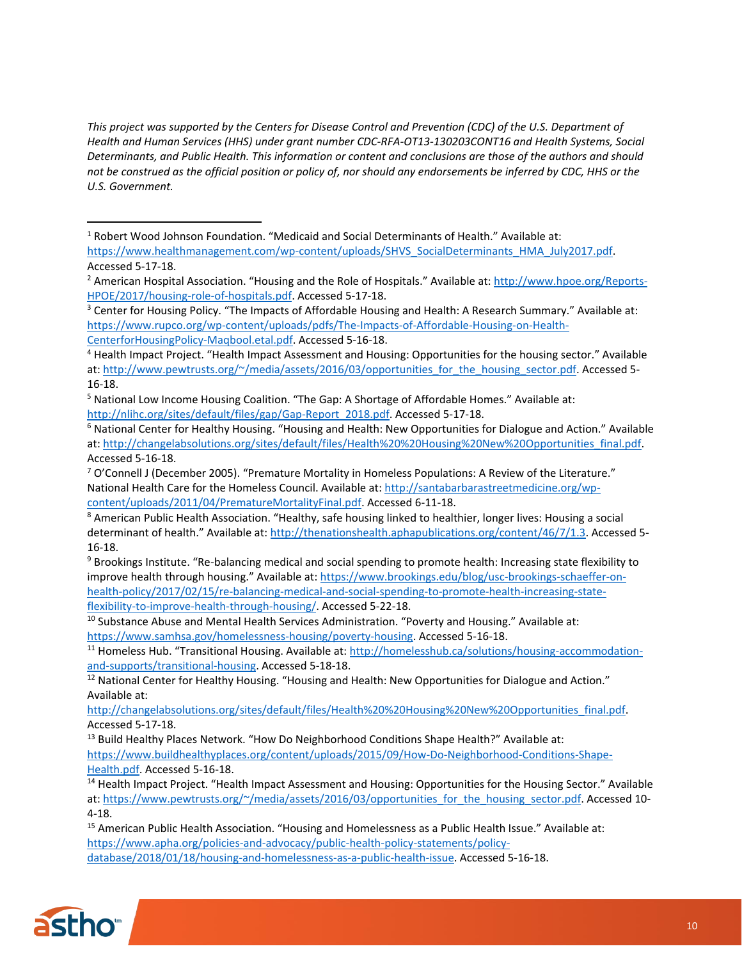*This project was supported by the Centers for Disease Control and Prevention (CDC) of the U.S. Department of Health and Human Services (HHS) under grant number CDC-RFA-OT13-130203CONT16 and Health Systems, Social Determinants, and Public Health. This information or content and conclusions are those of the authors and should not be construed as the official position or policy of, nor should any endorsements be inferred by CDC, HHS or the U.S. Government.*

<sup>3</sup> Center for Housing Policy. "The Impacts of Affordable Housing and Health: A Research Summary." Available at: [https://www.rupco.org/wp-content/uploads/pdfs/The-Impacts-of-Affordable-Housing-on-Health-](https://www.rupco.org/wp-content/uploads/pdfs/The-Impacts-of-Affordable-Housing-on-Health-CenterforHousingPolicy-Maqbool.etal.pdf)

[CenterforHousingPolicy-Maqbool.etal.pdf.](https://www.rupco.org/wp-content/uploads/pdfs/The-Impacts-of-Affordable-Housing-on-Health-CenterforHousingPolicy-Maqbool.etal.pdf) Accessed 5-16-18.

<sup>8</sup> American Public Health Association. "Healthy, safe housing linked to healthier, longer lives: Housing a social determinant of health." Available at: [http://thenationshealth.aphapublications.org/content/46/7/1.3.](http://thenationshealth.aphapublications.org/content/46/7/1.3) Accessed 5-16-18.

<sup>9</sup> Brookings Institute. "Re-balancing medical and social spending to promote health: Increasing state flexibility to improve health through housing." Available at: [https://www.brookings.edu/blog/usc-brookings-schaeffer-on](https://www.brookings.edu/blog/usc-brookings-schaeffer-on-health-policy/2017/02/15/re-balancing-medical-and-social-spending-to-promote-health-increasing-state-flexibility-to-improve-health-through-housing/)[health-policy/2017/02/15/re-balancing-medical-and-social-spending-to-promote-health-increasing-state](https://www.brookings.edu/blog/usc-brookings-schaeffer-on-health-policy/2017/02/15/re-balancing-medical-and-social-spending-to-promote-health-increasing-state-flexibility-to-improve-health-through-housing/)[flexibility-to-improve-health-through-housing/.](https://www.brookings.edu/blog/usc-brookings-schaeffer-on-health-policy/2017/02/15/re-balancing-medical-and-social-spending-to-promote-health-increasing-state-flexibility-to-improve-health-through-housing/) Accessed 5-22-18.

 $10$  Substance Abuse and Mental Health Services Administration. "Poverty and Housing." Available at: [https://www.samhsa.gov/homelessness-housing/poverty-housing.](https://www.samhsa.gov/homelessness-housing/poverty-housing) Accessed 5-16-18.

<sup>11</sup> Homeless Hub. "Transitional Housing. Available at: [http://homelesshub.ca/solutions/housing-accommodation](http://homelesshub.ca/solutions/housing-accommodation-and-supports/transitional-housing)[and-supports/transitional-housing.](http://homelesshub.ca/solutions/housing-accommodation-and-supports/transitional-housing) Accessed 5-18-18.

<sup>12</sup> National Center for Healthy Housing. "Housing and Health: New Opportunities for Dialogue and Action." Available at:

[http://changelabsolutions.org/sites/default/files/Health%20%20Housing%20New%20Opportunities\\_final.pdf.](http://changelabsolutions.org/sites/default/files/Health%20%20Housing%20New%20Opportunities_final.pdf) Accessed 5-17-18.

<sup>13</sup> Build Healthy Places Network. "How Do Neighborhood Conditions Shape Health?" Available at: [https://www.buildhealthyplaces.org/content/uploads/2015/09/How-Do-Neighborhood-Conditions-Shape-](https://www.buildhealthyplaces.org/content/uploads/2015/09/How-Do-Neighborhood-Conditions-Shape-Health.pdf)[Health.pdf.](https://www.buildhealthyplaces.org/content/uploads/2015/09/How-Do-Neighborhood-Conditions-Shape-Health.pdf) Accessed 5-16-18.

<sup>14</sup> Health Impact Project. "Health Impact Assessment and Housing: Opportunities for the Housing Sector." Available at: [https://www.pewtrusts.org/~/media/assets/2016/03/opportunities\\_for\\_the\\_housing\\_sector.pdf.](https://www.pewtrusts.org/~/media/assets/2016/03/opportunities_for_the_housing_sector.pdf) Accessed 10-4-18.

<sup>15</sup> American Public Health Association. "Housing and Homelessness as a Public Health Issue." Available at: [https://www.apha.org/policies-and-advocacy/public-health-policy-statements/policy](https://www.apha.org/policies-and-advocacy/public-health-policy-statements/policy-database/2018/01/18/housing-and-homelessness-as-a-public-health-issue)[database/2018/01/18/housing-and-homelessness-as-a-public-health-issue.](https://www.apha.org/policies-and-advocacy/public-health-policy-statements/policy-database/2018/01/18/housing-and-homelessness-as-a-public-health-issue) Accessed 5-16-18.



 $\overline{a}$ 

<sup>&</sup>lt;sup>1</sup> Robert Wood Johnson Foundation. "Medicaid and Social Determinants of Health." Available at: [https://www.healthmanagement.com/wp-content/uploads/SHVS\\_SocialDeterminants\\_HMA\\_July2017.pdf.](https://www.healthmanagement.com/wp-content/uploads/SHVS_SocialDeterminants_HMA_July2017.pdf) Accessed 5-17-18.

<sup>2</sup> American Hospital Association. "Housing and the Role of Hospitals." Available at: [http://www.hpoe.org/Reports-](http://www.hpoe.org/Reports-HPOE/2017/housing-role-of-hospitals.pdf)[HPOE/2017/housing-role-of-hospitals.pdf.](http://www.hpoe.org/Reports-HPOE/2017/housing-role-of-hospitals.pdf) Accessed 5-17-18.

<sup>4</sup> Health Impact Project. "Health Impact Assessment and Housing: Opportunities for the housing sector." Available at: [http://www.pewtrusts.org/~/media/assets/2016/03/opportunities\\_for\\_the\\_housing\\_sector.pdf.](http://www.pewtrusts.org/~/media/assets/2016/03/opportunities_for_the_housing_sector.pdf) Accessed 5-16-18.

<sup>5</sup> National Low Income Housing Coalition. "The Gap: A Shortage of Affordable Homes." Available at: [http://nlihc.org/sites/default/files/gap/Gap-Report\\_2018.pdf.](http://nlihc.org/sites/default/files/gap/Gap-Report_2018.pdf) Accessed 5-17-18.

<sup>6</sup> National Center for Healthy Housing. "Housing and Health: New Opportunities for Dialogue and Action." Available at: [http://changelabsolutions.org/sites/default/files/Health%20%20Housing%20New%20Opportunities\\_final.pdf.](http://changelabsolutions.org/sites/default/files/Health%20%20Housing%20New%20Opportunities_final.pdf)  Accessed 5-16-18.

 $7$  O'Connell J (December 2005). "Premature Mortality in Homeless Populations: A Review of the Literature." National Health Care for the Homeless Council. Available at[: http://santabarbarastreetmedicine.org/wp](http://santabarbarastreetmedicine.org/wp-content/uploads/2011/04/PrematureMortalityFinal.pdf)[content/uploads/2011/04/PrematureMortalityFinal.pdf.](http://santabarbarastreetmedicine.org/wp-content/uploads/2011/04/PrematureMortalityFinal.pdf) Accessed 6-11-18.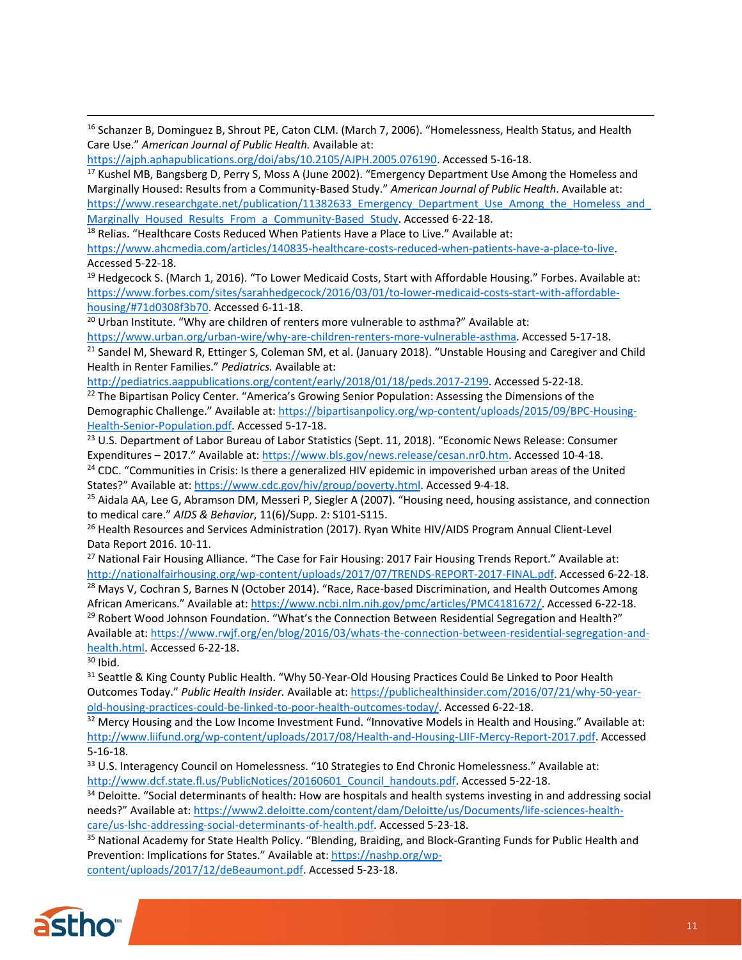<sup>16</sup> Schanzer B, Dominguez B, Shrout PE, Caton CLM. (March 7, 2006). "Homelessness, Health Status, and Health Care Use." *American Journal of Public Health.* Available at:

[https://ajph.aphapublications.org/doi/abs/10.2105/AJPH.2005.076190.](https://ajph.aphapublications.org/doi/abs/10.2105/AJPH.2005.076190) Accessed 5-16-18.

<sup>17</sup> Kushel MB, Bangsberg D, Perry S, Moss A (June 2002). "Emergency Department Use Among the Homeless and Marginally Housed: Results from a Community-Based Study." *American Journal of Public Health*. Available at: https://www.researchgate.net/publication/11382633 Emergency Department Use Among the Homeless and [Marginally\\_Housed\\_Results\\_From\\_a\\_Community-Based\\_Study.](https://www.researchgate.net/publication/11382633_Emergency_Department_Use_Among_the_Homeless_and_Marginally_Housed_Results_From_a_Community-Based_Study) Accessed 6-22-18.

<sup>18</sup> Relias. "Healthcare Costs Reduced When Patients Have a Place to Live." Available at: [https://www.ahcmedia.com/articles/140835-healthcare-costs-reduced-when-patients-have-a-place-to-live.](https://www.ahcmedia.com/articles/140835-healthcare-costs-reduced-when-patients-have-a-place-to-live) Accessed 5-22-18.

 $19$  Hedgecock S. (March 1, 2016). "To Lower Medicaid Costs, Start with Affordable Housing." Forbes. Available at: [https://www.forbes.com/sites/sarahhedgecock/2016/03/01/to-lower-medicaid-costs-start-with-affordable](https://www.forbes.com/sites/sarahhedgecock/2016/03/01/to-lower-medicaid-costs-start-with-affordable-housing/#71d0308f3b70)[housing/#71d0308f3b70.](https://www.forbes.com/sites/sarahhedgecock/2016/03/01/to-lower-medicaid-costs-start-with-affordable-housing/#71d0308f3b70) Accessed 6-11-18.

<sup>20</sup> Urban Institute. "Why are children of renters more vulnerable to asthma?" Available at:

[https://www.urban.org/urban-wire/why-are-children-renters-more-vulnerable-asthma.](https://www.urban.org/urban-wire/why-are-children-renters-more-vulnerable-asthma) Accessed 5-17-18. <sup>21</sup> Sandel M, Sheward R, Ettinger S, Coleman SM, et al. (January 2018). "Unstable Housing and Caregiver and Child Health in Renter Families." *Pediatrics.* Available at:

[http://pediatrics.aappublications.org/content/early/2018/01/18/peds.2017-2199.](http://pediatrics.aappublications.org/content/early/2018/01/18/peds.2017-2199) Accessed 5-22-18.

<sup>22</sup> The Bipartisan Policy Center. "America's Growing Senior Population: Assessing the Dimensions of the Demographic Challenge." Available at: [https://bipartisanpolicy.org/wp-content/uploads/2015/09/BPC-Housing-](https://bipartisanpolicy.org/wp-content/uploads/2015/09/BPC-Housing-Health-Senior-Population.pdf)[Health-Senior-Population.pdf.](https://bipartisanpolicy.org/wp-content/uploads/2015/09/BPC-Housing-Health-Senior-Population.pdf) Accessed 5-17-18.

<sup>23</sup> U.S. Department of Labor Bureau of Labor Statistics (Sept. 11, 2018). "Economic News Release: Consumer Expenditures – 2017." Available at: [https://www.bls.gov/news.release/cesan.nr0.htm.](https://www.bls.gov/news.release/cesan.nr0.htm) Accessed 10-4-18.

<sup>24</sup> CDC. "Communities in Crisis: Is there a generalized HIV epidemic in impoverished urban areas of the United States?" Available at: [https://www.cdc.gov/hiv/group/poverty.html.](https://www.cdc.gov/hiv/group/poverty.html) Accessed 9-4-18.

 $25$  Aidala AA, Lee G, Abramson DM, Messeri P, Siegler A (2007). "Housing need, housing assistance, and connection to medical care." *AIDS & Behavior*, 11(6)/Supp. 2: S101-S115.

<sup>26</sup> Health Resources and Services Administration (2017). Ryan White HIV/AIDS Program Annual Client-Level Data Report 2016. 10-11.

<sup>27</sup> National Fair Housing Alliance. "The Case for Fair Housing: 2017 Fair Housing Trends Report." Available at: [http://nationalfairhousing.org/wp-content/uploads/2017/07/TRENDS-REPORT-2017-FINAL.pdf.](http://nationalfairhousing.org/wp-content/uploads/2017/07/TRENDS-REPORT-2017-FINAL.pdf) Accessed 6-22-18.

<sup>28</sup> Mays V, Cochran S, Barnes N (October 2014). "Race, Race-based Discrimination, and Health Outcomes Among African Americans." Available at: [https://www.ncbi.nlm.nih.gov/pmc/articles/PMC4181672/.](https://www.ncbi.nlm.nih.gov/pmc/articles/PMC4181672/) Accessed 6-22-18. <sup>29</sup> Robert Wood Johnson Foundation. "What's the Connection Between Residential Segregation and Health?" Available at[: https://www.rwjf.org/en/blog/2016/03/whats-the-connection-between-residential-segregation-and](https://www.rwjf.org/en/blog/2016/03/whats-the-connection-between-residential-segregation-and-health.html)[health.html.](https://www.rwjf.org/en/blog/2016/03/whats-the-connection-between-residential-segregation-and-health.html) Accessed 6-22-18.

 $30$  Ibid.

 $\overline{a}$ 

<sup>31</sup> Seattle & King County Public Health. "Why 50-Year-Old Housing Practices Could Be Linked to Poor Health Outcomes Today." *Public Health Insider.* Available at[: https://publichealthinsider.com/2016/07/21/why-50-year](https://publichealthinsider.com/2016/07/21/why-50-year-old-housing-practices-could-be-linked-to-poor-health-outcomes-today/)[old-housing-practices-could-be-linked-to-poor-health-outcomes-today/.](https://publichealthinsider.com/2016/07/21/why-50-year-old-housing-practices-could-be-linked-to-poor-health-outcomes-today/) Accessed 6-22-18.

<sup>32</sup> Mercy Housing and the Low Income Investment Fund. "Innovative Models in Health and Housing." Available at: [http://www.liifund.org/wp-content/uploads/2017/08/Health-and-Housing-LIIF-Mercy-Report-2017.pdf.](http://www.liifund.org/wp-content/uploads/2017/08/Health-and-Housing-LIIF-Mercy-Report-2017.pdf) Accessed 5-16-18.

<sup>33</sup> U.S. Interagency Council on Homelessness. "10 Strategies to End Chronic Homelessness." Available at: [http://www.dcf.state.fl.us/PublicNotices/20160601\\_Council\\_handouts.pdf.](http://www.dcf.state.fl.us/PublicNotices/20160601_Council_handouts.pdf) Accessed 5-22-18.

<sup>34</sup> Deloitte. "Social determinants of health: How are hospitals and health systems investing in and addressing social needs?" Available at: [https://www2.deloitte.com/content/dam/Deloitte/us/Documents/life-sciences-health](https://www2.deloitte.com/content/dam/Deloitte/us/Documents/life-sciences-health-care/us-lshc-addressing-social-determinants-of-health.pdf)[care/us-lshc-addressing-social-determinants-of-health.pdf.](https://www2.deloitte.com/content/dam/Deloitte/us/Documents/life-sciences-health-care/us-lshc-addressing-social-determinants-of-health.pdf) Accessed 5-23-18.

35 National Academy for State Health Policy. "Blending, Braiding, and Block-Granting Funds for Public Health and Prevention: Implications for States." Available at: [https://nashp.org/wp](https://nashp.org/wp-content/uploads/2017/12/deBeaumont.pdf)[content/uploads/2017/12/deBeaumont.pdf.](https://nashp.org/wp-content/uploads/2017/12/deBeaumont.pdf) Accessed 5-23-18.